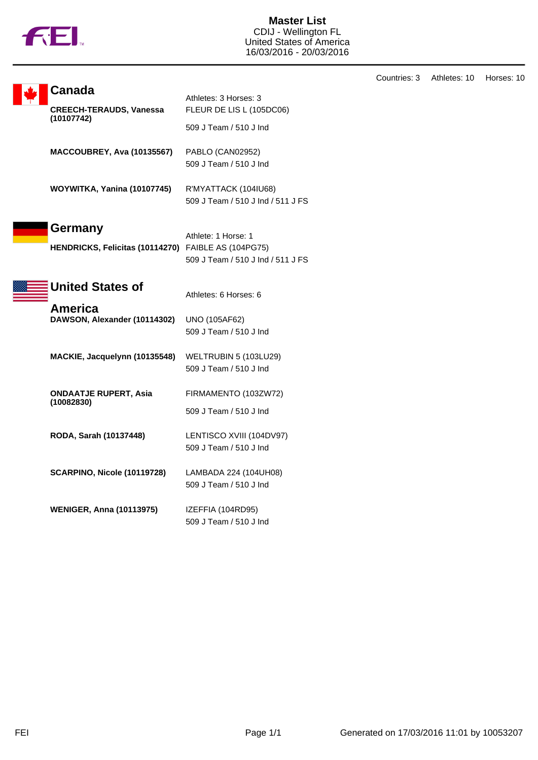

**Master List** CDIJ - Wellington FL United States of America 16/03/2016 - 20/03/2016

|  | Canada                                                         | Athletes: 3 Horses: 3                                     |
|--|----------------------------------------------------------------|-----------------------------------------------------------|
|  | <b>CREECH-TERAUDS, Vanessa</b>                                 | FLEUR DE LIS L (105DC06)                                  |
|  | (10107742)                                                     | 509 J Team / 510 J Ind                                    |
|  | MACCOUBREY, Ava (10135567)                                     | PABLO (CAN02952)<br>509 J Team / 510 J Ind                |
|  | WOYWITKA, Yanina (10107745)                                    | R'MYATTACK (104IU68)<br>509 J Team / 510 J Ind / 511 J FS |
|  | Germany<br>HENDRICKS, Felicitas (10114270) FAIBLE AS (104PG75) | Athlete: 1 Horse: 1<br>509 J Team / 510 J Ind / 511 J FS  |
|  | <b>United States of</b>                                        | Athletes: 6 Horses: 6                                     |
|  | America<br>DAWSON, Alexander (10114302)                        | UNO (105AF62)<br>509 J Team / 510 J Ind                   |
|  | MACKIE, Jacquelynn (10135548)                                  | WELTRUBIN 5 (103LU29)<br>509 J Team / 510 J Ind           |
|  | <b>ONDAATJE RUPERT, Asia</b><br>(10082830)                     | FIRMAMENTO (103ZW72)<br>509 J Team / 510 J Ind            |
|  | RODA, Sarah (10137448)                                         | LENTISCO XVIII (104DV97)<br>509 J Team / 510 J Ind        |
|  | SCARPINO, Nicole (10119728)                                    | LAMBADA 224 (104UH08)<br>509 J Team / 510 J Ind           |
|  | <b>WENIGER, Anna (10113975)</b>                                | IZEFFIA (104RD95)<br>509 J Team / 510 J Ind               |

Countries: 3 Athletes: 10 Horses: 10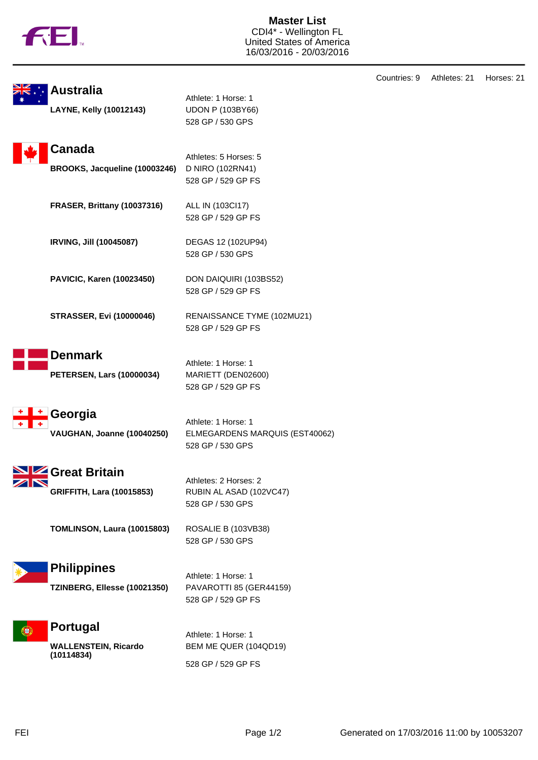

**Master List** CDI4\* - Wellington FL United States of America 16/03/2016 - 20/03/2016

|              | <b>Australia</b>                                      |                                                                           | Countries: 9 | Athletes: 21 | Horses: 21 |
|--------------|-------------------------------------------------------|---------------------------------------------------------------------------|--------------|--------------|------------|
|              | LAYNE, Kelly (10012143)                               | Athlete: 1 Horse: 1<br><b>UDON P (103BY66)</b><br>528 GP / 530 GPS        |              |              |            |
|              | Canada                                                | Athletes: 5 Horses: 5                                                     |              |              |            |
|              | BROOKS, Jacqueline (10003246)                         | D NIRO (102RN41)<br>528 GP / 529 GP FS                                    |              |              |            |
|              | FRASER, Brittany (10037316)                           | ALL IN (103Cl17)<br>528 GP / 529 GP FS                                    |              |              |            |
|              | IRVING, Jill (10045087)                               | DEGAS 12 (102UP94)<br>528 GP / 530 GPS                                    |              |              |            |
|              | PAVICIC, Karen (10023450)                             | DON DAIQUIRI (103BS52)<br>528 GP / 529 GP FS                              |              |              |            |
|              | <b>STRASSER, Evi (10000046)</b>                       | RENAISSANCE TYME (102MU21)<br>528 GP / 529 GP FS                          |              |              |            |
|              | <b>Denmark</b>                                        |                                                                           |              |              |            |
|              | <b>PETERSEN, Lars (10000034)</b>                      | Athlete: 1 Horse: 1<br>MARIETT (DEN02600)<br>528 GP / 529 GP FS           |              |              |            |
| $\mathbf{r}$ | Georgia<br>VAUGHAN, Joanne (10040250)                 | Athlete: 1 Horse: 1<br>ELMEGARDENS MARQUIS (EST40062)<br>528 GP / 530 GPS |              |              |            |
| ZN           | SIZ Great Britain<br><b>GRIFFITH, Lara (10015853)</b> | Athletes: 2 Horses: 2<br>RUBIN AL ASAD (102VC47)<br>528 GP / 530 GPS      |              |              |            |
|              | TOMLINSON, Laura (10015803)                           | ROSALIE B (103VB38)<br>528 GP / 530 GPS                                   |              |              |            |
|              | <b>Philippines</b><br>TZINBERG, Ellesse (10021350)    | Athlete: 1 Horse: 1<br>PAVAROTTI 85 (GER44159)<br>528 GP / 529 GP FS      |              |              |            |
| ŀe}          | Portugal<br><b>WALLENSTEIN, Ricardo</b><br>(10114834) | Athlete: 1 Horse: 1<br>BEM ME QUER (104QD19)<br>528 GP / 529 GP FS        |              |              |            |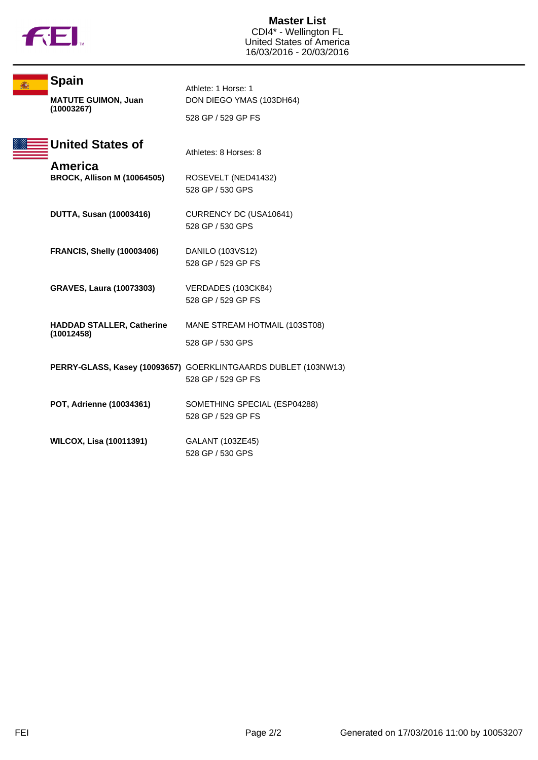

| <b>Spain</b>                       | Athlete: 1 Horse: 1                                            |
|------------------------------------|----------------------------------------------------------------|
| <b>MATUTE GUIMON, Juan</b>         | DON DIEGO YMAS (103DH64)                                       |
| (10003267)                         | 528 GP / 529 GP FS                                             |
| <b>United States of</b>            | Athletes: 8 Horses: 8                                          |
| America                            |                                                                |
| <b>BROCK, Allison M (10064505)</b> | ROSEVELT (NED41432)                                            |
|                                    | 528 GP / 530 GPS                                               |
| <b>DUTTA, Susan (10003416)</b>     | CURRENCY DC (USA10641)                                         |
|                                    | 528 GP / 530 GPS                                               |
|                                    |                                                                |
| <b>FRANCIS, Shelly (10003406)</b>  | DANILO (103VS12)                                               |
|                                    | 528 GP / 529 GP FS                                             |
| <b>GRAVES, Laura (10073303)</b>    | VERDADES (103CK84)                                             |
|                                    | 528 GP / 529 GP FS                                             |
|                                    |                                                                |
| <b>HADDAD STALLER, Catherine</b>   | MANE STREAM HOTMAIL (103ST08)                                  |
| (10012458)                         | 528 GP / 530 GPS                                               |
|                                    |                                                                |
|                                    | PERRY-GLASS, Kasey (10093657) GOERKLINTGAARDS DUBLET (103NW13) |
|                                    | 528 GP / 529 GP FS                                             |
| POT, Adrienne (10034361)           | SOMETHING SPECIAL (ESP04288)                                   |
|                                    | 528 GP / 529 GP FS                                             |
|                                    |                                                                |
| <b>WILCOX, Lisa (10011391)</b>     | GALANT (103ZE45)                                               |
|                                    | 528 GP / 530 GPS                                               |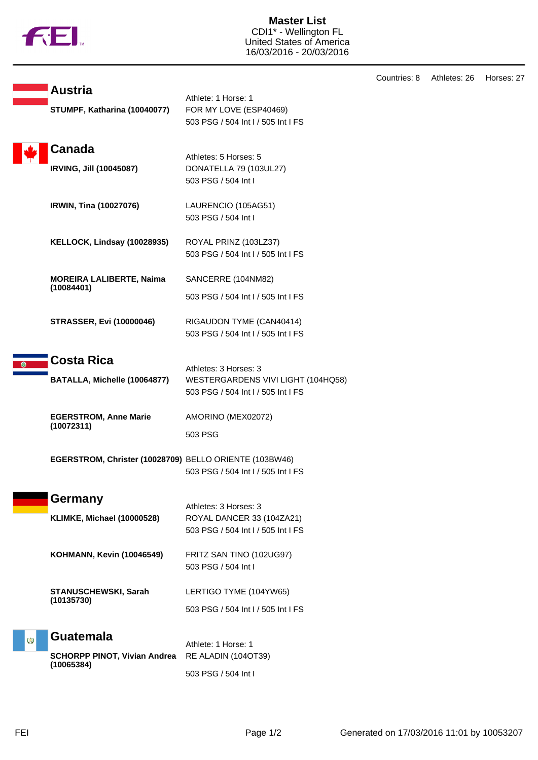

**Master List** CDI1\* - Wellington FL United States of America 16/03/2016 - 20/03/2016

|                              | <b>Austria</b>                                         |                                                                                     | Countries: 8 | Athletes: 26 | Horses: 27 |
|------------------------------|--------------------------------------------------------|-------------------------------------------------------------------------------------|--------------|--------------|------------|
| STUMPF, Katharina (10040077) |                                                        | Athlete: 1 Horse: 1<br>FOR MY LOVE (ESP40469)<br>503 PSG / 504 Int I / 505 Int I FS |              |              |            |
|                              | Canada<br><b>IRVING, Jill (10045087)</b>               | Athletes: 5 Horses: 5<br>DONATELLA 79 (103UL27)                                     |              |              |            |
|                              |                                                        | 503 PSG / 504 Int I                                                                 |              |              |            |
|                              | IRWIN, Tina (10027076)                                 | LAURENCIO (105AG51)<br>503 PSG / 504 Int I                                          |              |              |            |
|                              | KELLOCK, Lindsay (10028935)                            | ROYAL PRINZ (103LZ37)<br>503 PSG / 504 Int I / 505 Int I FS                         |              |              |            |
|                              | <b>MOREIRA LALIBERTE, Naima</b><br>(10084401)          | SANCERRE (104NM82)                                                                  |              |              |            |
|                              |                                                        | 503 PSG / 504 Int I / 505 Int I FS                                                  |              |              |            |
|                              | <b>STRASSER, Evi (10000046)</b>                        | RIGAUDON TYME (CAN40414)<br>503 PSG / 504 Int I / 505 Int I FS                      |              |              |            |
|                              | <b>Costa Rica</b>                                      | Athletes: 3 Horses: 3                                                               |              |              |            |
|                              | BATALLA, Michelle (10064877)                           | WESTERGARDENS VIVI LIGHT (104HQ58)<br>503 PSG / 504 Int I / 505 Int I FS            |              |              |            |
|                              | <b>EGERSTROM, Anne Marie</b><br>(10072311)             | AMORINO (MEX02072)                                                                  |              |              |            |
|                              |                                                        | 503 PSG                                                                             |              |              |            |
|                              | EGERSTROM, Christer (10028709) BELLO ORIENTE (103BW46) | 503 PSG / 504 Int I / 505 Int I FS                                                  |              |              |            |
|                              | Germany                                                | Athletes: 3 Horses: 3                                                               |              |              |            |
|                              | <b>KLIMKE, Michael (10000528)</b>                      | ROYAL DANCER 33 (104ZA21)<br>503 PSG / 504 Int I / 505 Int I FS                     |              |              |            |
|                              | <b>KOHMANN, Kevin (10046549)</b>                       | FRITZ SAN TINO (102UG97)<br>503 PSG / 504 Int I                                     |              |              |            |
|                              | <b>STANUSCHEWSKI, Sarah</b><br>(10135730)              | LERTIGO TYME (104YW65)                                                              |              |              |            |
|                              |                                                        | 503 PSG / 504 Int I / 505 Int I FS                                                  |              |              |            |
| $\omega$                     | <b>Guatemala</b>                                       | Athlete: 1 Horse: 1                                                                 |              |              |            |
|                              | <b>SCHORPP PINOT, Vivian Andrea</b><br>(10065384)      | RE ALADIN (104OT39)                                                                 |              |              |            |
|                              |                                                        | 503 PSG / 504 Int I                                                                 |              |              |            |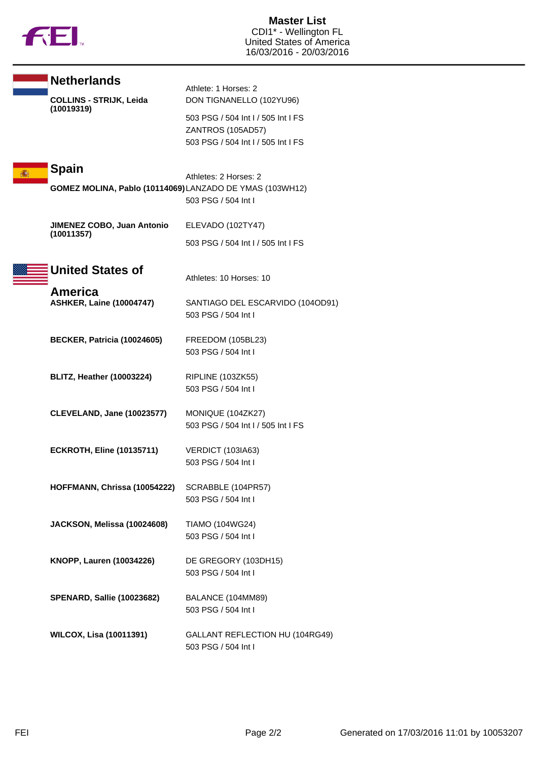

| <b>Netherlands</b>                                       | Athlete: 1 Horses: 2                                    |
|----------------------------------------------------------|---------------------------------------------------------|
| <b>COLLINS - STRIJK, Leida</b><br>(10019319)             | DON TIGNANELLO (102YU96)                                |
|                                                          | 503 PSG / 504 Int I / 505 Int I FS                      |
|                                                          | ZANTROS (105AD57)<br>503 PSG / 504 Int I / 505 Int I FS |
|                                                          |                                                         |
| <b>Spain</b>                                             |                                                         |
| GOMEZ MOLINA, Pablo (10114069) LANZADO DE YMAS (103WH12) | Athletes: 2 Horses: 2                                   |
|                                                          | 503 PSG / 504 Int I                                     |
| JIMENEZ COBO, Juan Antonio                               | ELEVADO (102TY47)                                       |
| (10011357)                                               |                                                         |
|                                                          | 503 PSG / 504 Int I / 505 Int I FS                      |
| <b>United States of</b>                                  |                                                         |
| America                                                  | Athletes: 10 Horses: 10                                 |
| <b>ASHKER, Laine (10004747)</b>                          | SANTIAGO DEL ESCARVIDO (104OD91)                        |
|                                                          | 503 PSG / 504 Int I                                     |
| BECKER, Patricia (10024605)                              | FREEDOM (105BL23)                                       |
|                                                          | 503 PSG / 504 Int I                                     |
|                                                          |                                                         |
| <b>BLITZ, Heather (10003224)</b>                         | RIPLINE (103ZK55)<br>503 PSG / 504 Int I                |
|                                                          |                                                         |
| <b>CLEVELAND, Jane (10023577)</b>                        | MONIQUE (104ZK27)                                       |
|                                                          | 503 PSG / 504 Int I / 505 Int I FS                      |
| <b>ECKROTH, Eline (10135711)</b>                         | VERDICT (103IA63)                                       |
|                                                          | 503 PSG / 504 Int I                                     |
| HOFFMANN, Chrissa (10054222)                             | SCRABBLE (104PR57)                                      |
|                                                          | 503 PSG / 504 Int I                                     |
| JACKSON, Melissa (10024608)                              | <b>TIAMO (104WG24)</b>                                  |
|                                                          | 503 PSG / 504 Int I                                     |
|                                                          |                                                         |
| KNOPP, Lauren (10034226)                                 | DE GREGORY (103DH15)<br>503 PSG / 504 Int I             |
|                                                          |                                                         |
| <b>SPENARD, Sallie (10023682)</b>                        | BALANCE (104MM89)                                       |
|                                                          | 503 PSG / 504 Int I                                     |
| <b>WILCOX, Lisa (10011391)</b>                           | GALLANT REFLECTION HU (104RG49)                         |
|                                                          | 503 PSG / 504 Int I                                     |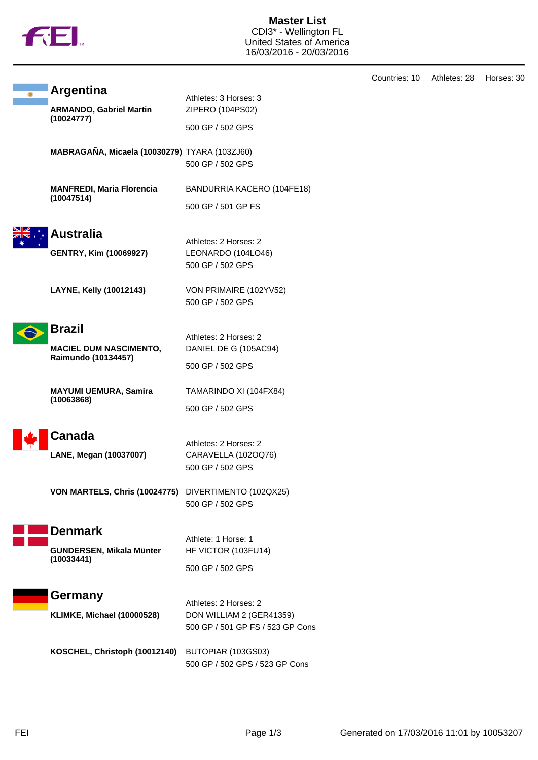

**Master List** CDI3\* - Wellington FL United States of America 16/03/2016 - 20/03/2016

|                                                      |                                  | Countries: 10 | Athletes: 28 | Horses: 30 |
|------------------------------------------------------|----------------------------------|---------------|--------------|------------|
| <b>Argentina</b>                                     | Athletes: 3 Horses: 3            |               |              |            |
| <b>ARMANDO, Gabriel Martin</b>                       | ZIPERO (104PS02)                 |               |              |            |
| (10024777)                                           | 500 GP / 502 GPS                 |               |              |            |
| MABRAGAÑA, Micaela (10030279) TYARA (103ZJ60)        |                                  |               |              |            |
|                                                      | 500 GP / 502 GPS                 |               |              |            |
| <b>MANFREDI, Maria Florencia</b><br>(10047514)       | BANDURRIA KACERO (104FE18)       |               |              |            |
|                                                      | 500 GP / 501 GP FS               |               |              |            |
| <b>Australia</b>                                     |                                  |               |              |            |
|                                                      | Athletes: 2 Horses: 2            |               |              |            |
| <b>GENTRY, Kim (10069927)</b>                        | LEONARDO (104LO46)               |               |              |            |
|                                                      | 500 GP / 502 GPS                 |               |              |            |
| LAYNE, Kelly (10012143)                              | VON PRIMAIRE (102YV52)           |               |              |            |
|                                                      | 500 GP / 502 GPS                 |               |              |            |
| <b>Brazil</b>                                        |                                  |               |              |            |
|                                                      | Athletes: 2 Horses: 2            |               |              |            |
| <b>MACIEL DUM NASCIMENTO,</b><br>Raimundo (10134457) | DANIEL DE G (105AC94)            |               |              |            |
|                                                      | 500 GP / 502 GPS                 |               |              |            |
| <b>MAYUMI UEMURA, Samira</b>                         | TAMARINDO XI (104FX84)           |               |              |            |
| (10063868)                                           | 500 GP / 502 GPS                 |               |              |            |
| Canada                                               |                                  |               |              |            |
|                                                      | Athletes: 2 Horses: 2            |               |              |            |
| LANE, Megan (10037007)                               | CARAVELLA (102OQ76)              |               |              |            |
|                                                      | 500 GP / 502 GPS                 |               |              |            |
| VON MARTELS, Chris (10024775) DIVERTIMENTO (102QX25) |                                  |               |              |            |
|                                                      | 500 GP / 502 GPS                 |               |              |            |
| <b>Denmark</b>                                       |                                  |               |              |            |
|                                                      | Athlete: 1 Horse: 1              |               |              |            |
| GUNDERSEN, Mikala Münter<br>(10033441)               | HF VICTOR (103FU14)              |               |              |            |
|                                                      | 500 GP / 502 GPS                 |               |              |            |
| Germany                                              |                                  |               |              |            |
|                                                      | Athletes: 2 Horses: 2            |               |              |            |
| <b>KLIMKE, Michael (10000528)</b>                    | DON WILLIAM 2 (GER41359)         |               |              |            |
|                                                      | 500 GP / 501 GP FS / 523 GP Cons |               |              |            |
| KOSCHEL, Christoph (10012140)                        | BUTOPIAR (103GS03)               |               |              |            |
|                                                      | 500 GP / 502 GPS / 523 GP Cons   |               |              |            |
|                                                      |                                  |               |              |            |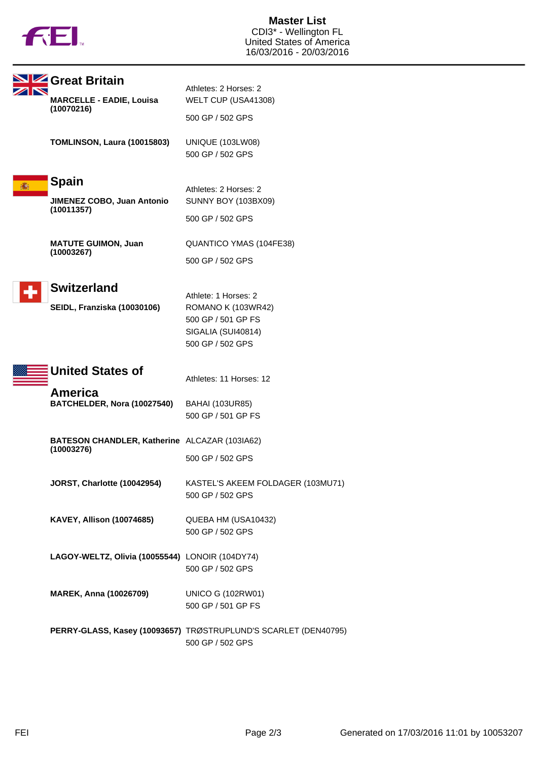

| Great Britain                                   |                                                                                     |
|-------------------------------------------------|-------------------------------------------------------------------------------------|
| <b>MARCELLE - EADIE, Louisa</b><br>(10070216)   | Athletes: 2 Horses: 2<br>WELT CUP (USA41308)                                        |
|                                                 | 500 GP / 502 GPS                                                                    |
| TOMLINSON, Laura (10015803)                     | <b>UNIQUE (103LW08)</b><br>500 GP / 502 GPS                                         |
| <b>Spain</b>                                    | Athletes: 2 Horses: 2                                                               |
| JIMENEZ COBO, Juan Antonio                      | <b>SUNNY BOY (103BX09)</b>                                                          |
| (10011357)                                      | 500 GP / 502 GPS                                                                    |
| <b>MATUTE GUIMON, Juan</b><br>(10003267)        | QUANTICO YMAS (104FE38)                                                             |
|                                                 | 500 GP / 502 GPS                                                                    |
| <b>Switzerland</b>                              |                                                                                     |
| SEIDL, Franziska (10030106)                     | Athlete: 1 Horses: 2<br>ROMANO K (103WR42)                                          |
|                                                 | 500 GP / 501 GP FS                                                                  |
|                                                 | SIGALIA (SUI40814)                                                                  |
|                                                 | 500 GP / 502 GPS                                                                    |
| <b>United States of</b>                         | Athletes: 11 Horses: 12                                                             |
| America<br>BATCHELDER, Nora (10027540)          | <b>BAHAI (103UR85)</b>                                                              |
|                                                 | 500 GP / 501 GP FS                                                                  |
| BATESON CHANDLER, Katherine ALCAZAR (103IA62)   |                                                                                     |
| (10003276)                                      | 500 GP / 502 GPS                                                                    |
| JORST, Charlotte (10042954)                     | KASTEL'S AKEEM FOLDAGER (103MU71)<br>500 GP / 502 GPS                               |
| <b>KAVEY, Allison (10074685)</b>                | QUEBA HM (USA10432)                                                                 |
|                                                 | 500 GP / 502 GPS                                                                    |
| LAGOY-WELTZ, Olivia (10055544) LONOIR (104DY74) |                                                                                     |
|                                                 | 500 GP / 502 GPS                                                                    |
| <b>MAREK, Anna (10026709)</b>                   | <b>UNICO G (102RW01)</b>                                                            |
|                                                 | 500 GP / 501 GP FS                                                                  |
|                                                 | PERRY-GLASS, Kasey (10093657) TRØSTRUPLUND'S SCARLET (DEN40795)<br>500 GP / 502 GPS |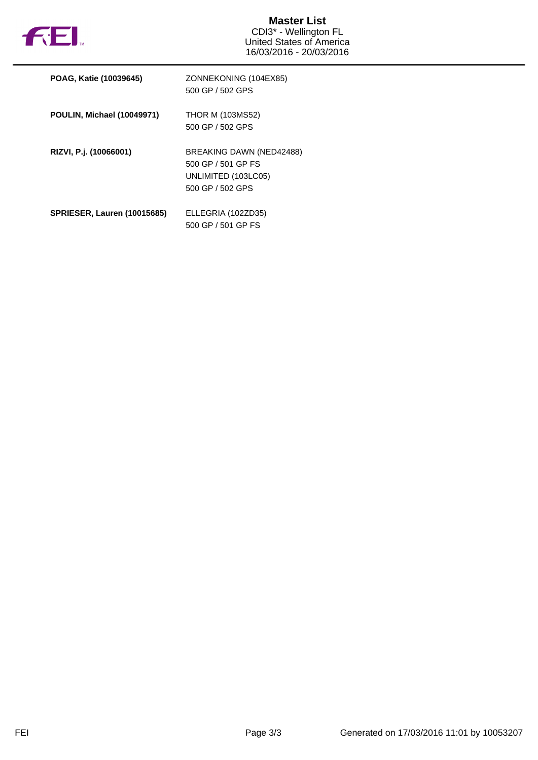

| POAG, Katie (10039645)             | ZONNEKONING (104EX85)<br>500 GP / 502 GPS                                                 |
|------------------------------------|-------------------------------------------------------------------------------------------|
| <b>POULIN, Michael (10049971)</b>  | <b>THOR M (103MS52)</b><br>500 GP / 502 GPS                                               |
| RIZVI, P.j. (10066001)             | BREAKING DAWN (NED42488)<br>500 GP / 501 GP FS<br>UNLIMITED (103LC05)<br>500 GP / 502 GPS |
| <b>SPRIESER, Lauren (10015685)</b> | ELLEGRIA (102ZD35)<br>500 GP / 501 GP FS                                                  |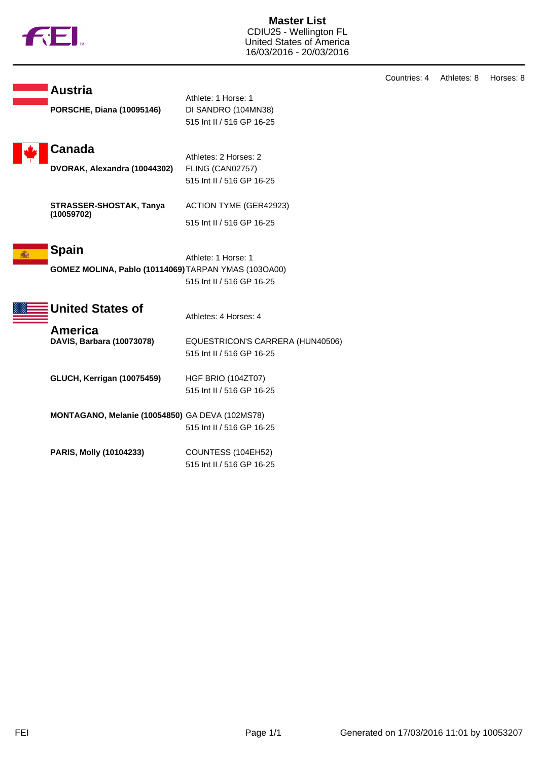|  | ΤM |
|--|----|
|  |    |

**Master List** CDIU25 - Wellington FL United States of America 16/03/2016 - 20/03/2016

|                                                                      |                                                                         | Countries: 4 | Athletes: 8 | Horses: 8 |
|----------------------------------------------------------------------|-------------------------------------------------------------------------|--------------|-------------|-----------|
| <b>Austria</b><br><b>PORSCHE, Diana (10095146)</b>                   | Athlete: 1 Horse: 1<br>DI SANDRO (104MN38)<br>515 Int II / 516 GP 16-25 |              |             |           |
| Canada<br>DVORAK, Alexandra (10044302)                               | Athletes: 2 Horses: 2<br>FLING (CAN02757)<br>515 Int II / 516 GP 16-25  |              |             |           |
| STRASSER-SHOSTAK, Tanya<br>(10059702)                                | <b>ACTION TYME (GER42923)</b><br>515 Int II / 516 GP 16-25              |              |             |           |
| <b>Spain</b><br>GOMEZ MOLINA, Pablo (10114069) TARPAN YMAS (103OA00) | Athlete: 1 Horse: 1<br>515 Int II / 516 GP 16-25                        |              |             |           |
| <b>United States of</b>                                              | Athletes: 4 Horses: 4                                                   |              |             |           |
| <b>America</b><br>DAVIS, Barbara (10073078)                          | EQUESTRICON'S CARRERA (HUN40506)<br>515 Int II / 516 GP 16-25           |              |             |           |
| GLUCH, Kerrigan (10075459)                                           | HGF BRIO (104ZT07)<br>515 Int II / 516 GP 16-25                         |              |             |           |
| MONTAGANO, Melanie (10054850) GA DEVA (102MS78)                      | 515 Int II / 516 GP 16-25                                               |              |             |           |
| PARIS, Molly (10104233)                                              | COUNTESS (104EH52)<br>515 Int II / 516 GP 16-25                         |              |             |           |
|                                                                      |                                                                         |              |             |           |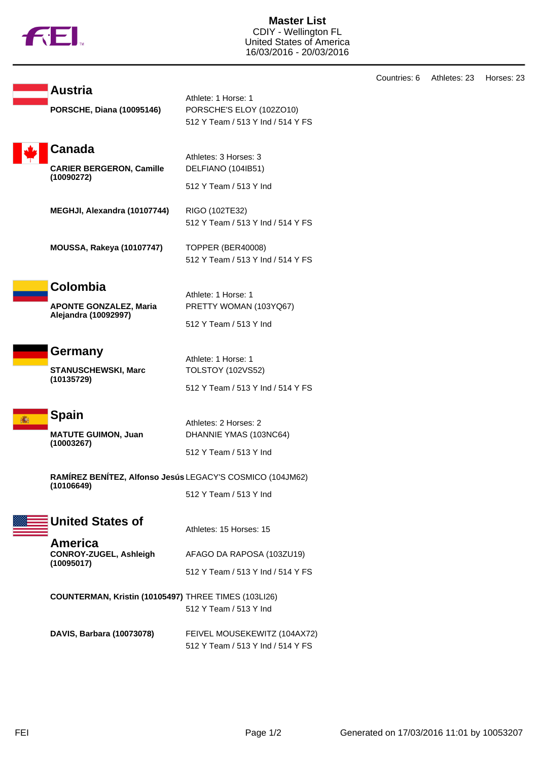

**Master List** CDIY - Wellington FL United States of America 16/03/2016 - 20/03/2016

|            |                                                           |                                   | Count |
|------------|-----------------------------------------------------------|-----------------------------------|-------|
|            | <b>Austria</b>                                            | Athlete: 1 Horse: 1               |       |
|            | <b>PORSCHE, Diana (10095146)</b>                          | PORSCHE'S ELOY (102ZO10)          |       |
|            |                                                           | 512 Y Team / 513 Y Ind / 514 Y FS |       |
|            | Canada                                                    |                                   |       |
|            |                                                           | Athletes: 3 Horses: 3             |       |
|            | <b>CARIER BERGERON, Camille</b><br>(10090272)             | DELFIANO (104IB51)                |       |
|            |                                                           | 512 Y Team / 513 Y Ind            |       |
|            | MEGHJI, Alexandra (10107744)                              | RIGO (102TE32)                    |       |
|            |                                                           | 512 Y Team / 513 Y Ind / 514 Y FS |       |
|            | <b>MOUSSA, Rakeya (10107747)</b>                          | TOPPER (BER40008)                 |       |
|            |                                                           | 512 Y Team / 513 Y Ind / 514 Y FS |       |
|            |                                                           |                                   |       |
|            | <b>Colombia</b>                                           | Athlete: 1 Horse: 1               |       |
|            | <b>APONTE GONZALEZ, Maria</b>                             | PRETTY WOMAN (103YQ67)            |       |
|            | Alejandra (10092997)                                      | 512 Y Team / 513 Y Ind            |       |
|            |                                                           |                                   |       |
|            | Germany                                                   | Athlete: 1 Horse: 1               |       |
|            | <b>STANUSCHEWSKI, Marc</b>                                | <b>TOLSTOY (102VS52)</b>          |       |
| (10135729) | 512 Y Team / 513 Y Ind / 514 Y FS                         |                                   |       |
|            |                                                           |                                   |       |
|            | <b>Spain</b>                                              | Athletes: 2 Horses: 2             |       |
|            | <b>MATUTE GUIMON, Juan</b>                                | DHANNIE YMAS (103NC64)            |       |
|            | (10003267)                                                | 512 Y Team / 513 Y Ind            |       |
|            | RAMÍREZ BENÍTEZ, Alfonso Jesús LEGACY'S COSMICO (104JM62) |                                   |       |
|            | (10106649)                                                |                                   |       |
|            |                                                           | 512 Y Team / 513 Y Ind            |       |
|            | <b>United States of</b>                                   |                                   |       |
|            |                                                           | Athletes: 15 Horses: 15           |       |
|            | America<br>CONROY-ZUGEL, Ashleigh                         | AFAGO DA RAPOSA (103ZU19)         |       |
|            | (10095017)                                                | 512 Y Team / 513 Y Ind / 514 Y FS |       |
|            |                                                           |                                   |       |
|            | COUNTERMAN, Kristin (10105497) THREE TIMES (103LI26)      |                                   |       |
|            |                                                           | 512 Y Team / 513 Y Ind            |       |
|            | DAVIS, Barbara (10073078)                                 | FEIVEL MOUSEKEWITZ (104AX72)      |       |
|            |                                                           | 512 Y Team / 513 Y Ind / 514 Y FS |       |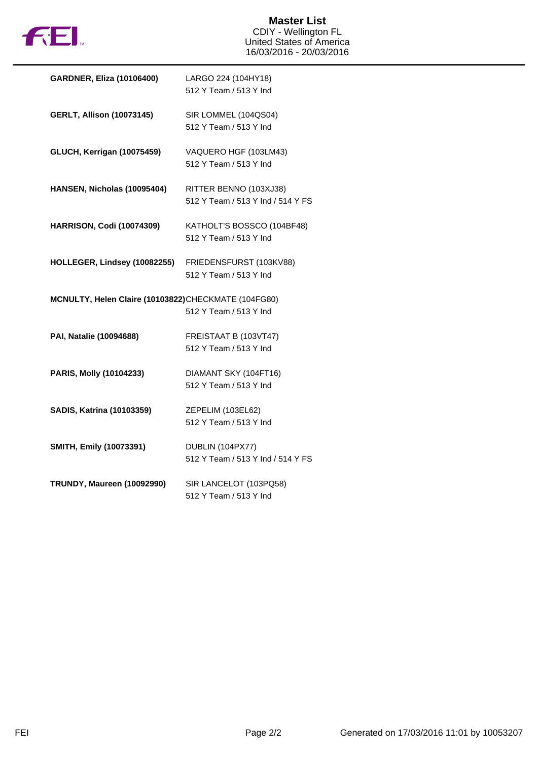

| <b>GARDNER, Eliza (10106400)</b>                    | LARGO 224 (104HY18)               |
|-----------------------------------------------------|-----------------------------------|
|                                                     | 512 Y Team / 513 Y Ind            |
|                                                     |                                   |
| <b>GERLT, Allison (10073145)</b>                    | SIR LOMMEL (104QS04)              |
|                                                     | 512 Y Team / 513 Y Ind            |
| <b>GLUCH, Kerrigan (10075459)</b>                   | VAQUERO HGF (103LM43)             |
|                                                     | 512 Y Team / 513 Y Ind            |
|                                                     |                                   |
| HANSEN, Nicholas (10095404)                         | RITTER BENNO (103XJ38)            |
|                                                     | 512 Y Team / 513 Y Ind / 514 Y FS |
|                                                     |                                   |
| <b>HARRISON, Codi (10074309)</b>                    | KATHOLT'S BOSSCO (104BF48)        |
|                                                     | 512 Y Team / 513 Y Ind            |
|                                                     |                                   |
| HOLLEGER, Lindsey (10082255)                        | FRIEDENSFURST (103KV88)           |
|                                                     | 512 Y Team / 513 Y Ind            |
|                                                     |                                   |
| MCNULTY, Helen Claire (10103822)CHECKMATE (104FG80) | 512 Y Team / 513 Y Ind            |
|                                                     |                                   |
| PAI, Natalie (10094688)                             | FREISTAAT B (103VT47)             |
|                                                     | 512 Y Team / 513 Y Ind            |
|                                                     |                                   |
| PARIS, Molly (10104233)                             | DIAMANT SKY (104FT16)             |
|                                                     | 512 Y Team / 513 Y Ind            |
|                                                     |                                   |
| <b>SADIS, Katrina (10103359)</b>                    | ZEPELIM (103EL62)                 |
|                                                     | 512 Y Team / 513 Y Ind            |
|                                                     |                                   |
| SMITH, Emily (10073391)                             | DUBLIN (104PX77)                  |
|                                                     | 512 Y Team / 513 Y Ind / 514 Y FS |
| <b>TRUNDY, Maureen (10092990)</b>                   | SIR LANCELOT (103PQ58)            |
|                                                     | 512 Y Team / 513 Y Ind            |
|                                                     |                                   |